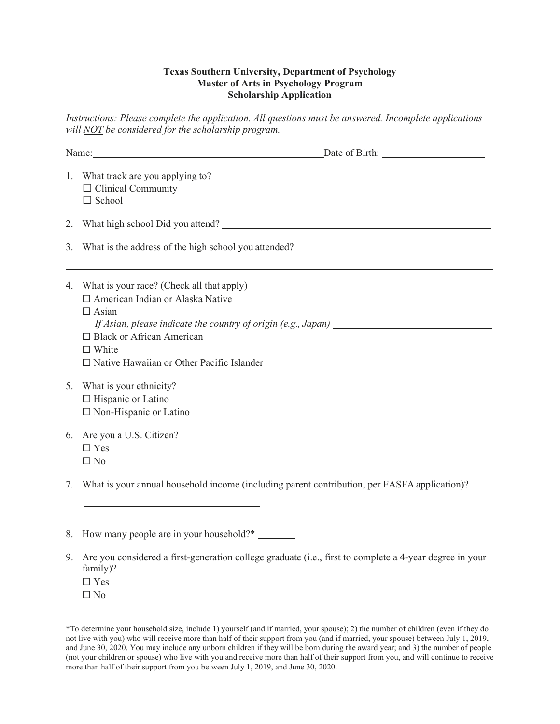## **Texas Southern University, Department of Psychology Master of Arts in Psychology Program Scholarship Application**

*Instructions: Please complete the application. All questions must be answered. Incomplete applications will NOT be considered for the scholarship program.*

| Date of Birth:<br>Name: Name and the set of the set of the set of the set of the set of the set of the set of the set of the set of the set of the set of the set of the set of the set of the set of the set of the set of the set of the set o                              |
|-------------------------------------------------------------------------------------------------------------------------------------------------------------------------------------------------------------------------------------------------------------------------------|
| 1. What track are you applying to?<br>$\Box$ Clinical Community<br>$\Box$ School                                                                                                                                                                                              |
|                                                                                                                                                                                                                                                                               |
| 3. What is the address of the high school you attended?                                                                                                                                                                                                                       |
| 4. What is your race? (Check all that apply)<br>□ American Indian or Alaska Native<br>$\Box$ Asian<br>If Asian, please indicate the country of origin $(e.g., Japan)$<br>$\Box$ Black or African American<br>$\Box$ White<br>$\Box$ Native Hawaiian or Other Pacific Islander |
| 5. What is your ethnicity?<br>$\Box$ Hispanic or Latino<br>$\Box$ Non-Hispanic or Latino                                                                                                                                                                                      |
| 6. Are you a U.S. Citizen?<br>$\Box$ Yes<br>$\Box$ No                                                                                                                                                                                                                         |
| 7. What is your annual household income (including parent contribution, per FASFA application)?                                                                                                                                                                               |

\*To determine your household size, include 1) yourself (and if married, your spouse); 2) the number of children (even if they do not live with you) who will receive more than half of their support from you (and if married, your spouse) between July 1, 2019, and June 30, 2020. You may include any unborn children if they will be born during the award year; and 3) the number of people (not your children or spouse) who live with you and receive more than half of their support from you, and will continue to receive more than half of their support from you between July 1, 2019, and June 30, 2020.

<sup>8.</sup> How many people are in your household?\*

<sup>9.</sup> Are you considered a first-generation college graduate (i.e., first to complete a 4-year degree in your family)? ☐ Yes  $\Box$  No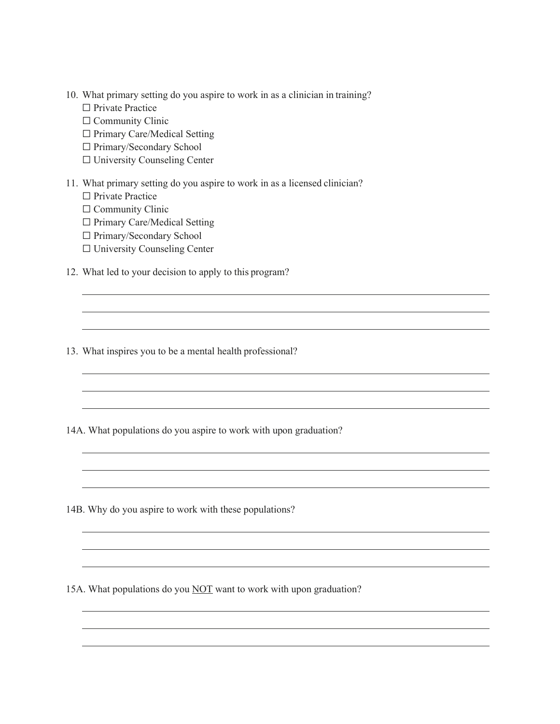- 10. What primary setting do you aspire to work in as a clinician in training?
	- □ Private Practice
	- □ Community Clinic
	- ☐ Primary Care/Medical Setting
	- ☐ Primary/Secondary School
	- ☐ University Counseling Center

## 11. What primary setting do you aspire to work in as a licensed clinician?

- □ Private Practice
- □ Community Clinic
- ☐ Primary Care/Medical Setting
- ☐ Primary/Secondary School
- ☐ University Counseling Center
- 12. What led to your decision to apply to this program?

13. What inspires you to be a mental health professional?

14A. What populations do you aspire to work with upon graduation?

<u> 1989 - Johann Stoff, amerikansk politiker (d. 1989)</u>

14B. Why do you aspire to work with these populations?

15A. What populations do you NOT want to work with upon graduation?